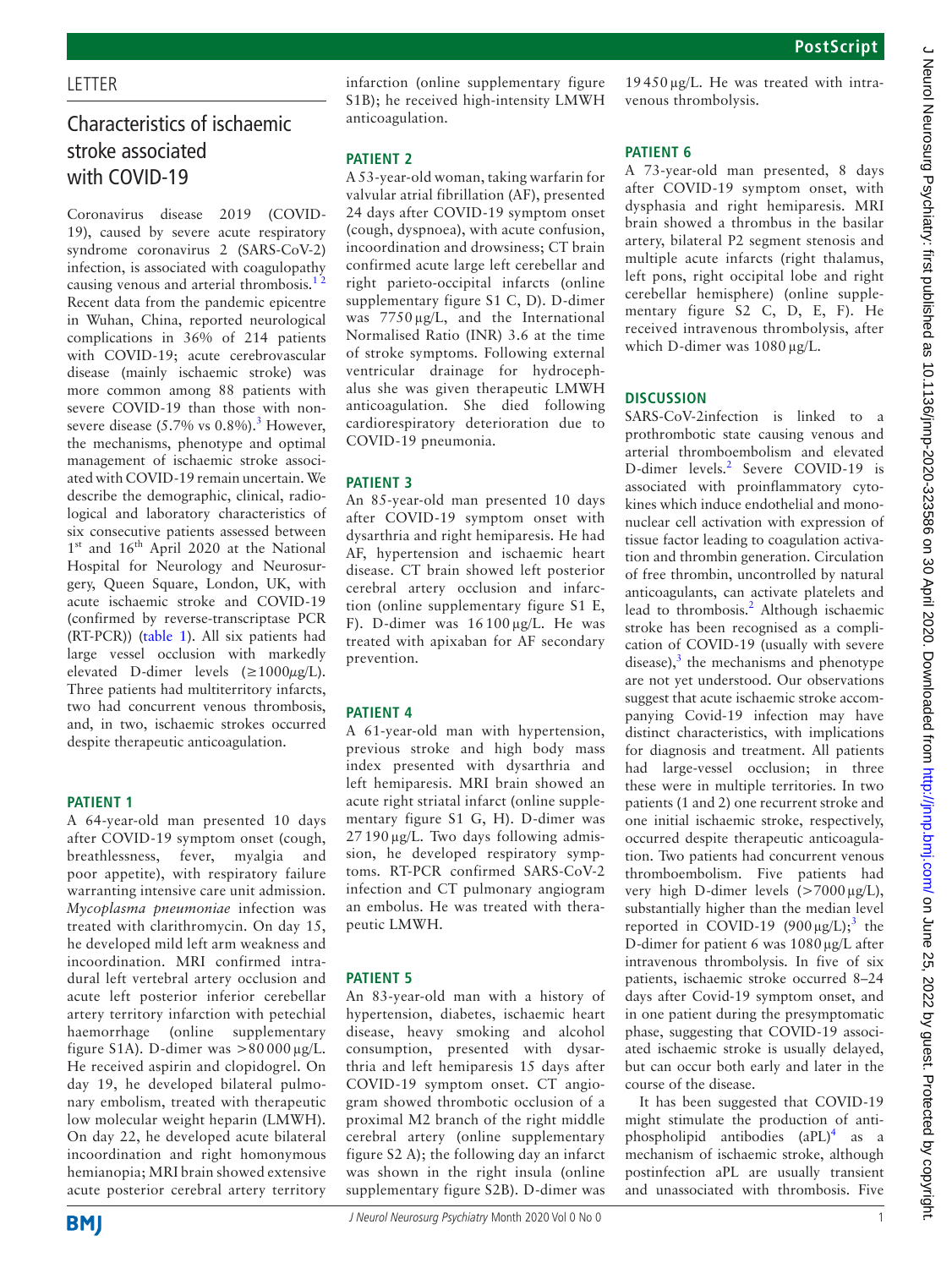## **LETTER**

# Characteristics of ischaemic stroke associated with COVID-19

Coronavirus disease 2019 (COVID-19), caused by severe acute respiratory syndrome coronavirus 2 (SARS-CoV-2) infection, is associated with coagulopathy causing venous and arterial thrombosis.<sup>12</sup> Recent data from the pandemic epicentre in Wuhan, China, reported neurological complications in 36% of 214 patients with COVID-19; acute cerebrovascular disease (mainly ischaemic stroke) was more common among 88 patients with severe COVID-19 than those with nonsevere disease  $(5.7\% \text{ vs } 0.8\%).$ <sup>3</sup> However, the mechanisms, phenotype and optimal management of ischaemic stroke associated with COVID-19 remain uncertain. We describe the demographic, clinical, radiological and laboratory characteristics of six consecutive patients assessed between 1<sup>st</sup> and 16<sup>th</sup> April 2020 at the National Hospital for Neurology and Neurosurgery, Queen Square, London, UK, with acute ischaemic stroke and COVID-19 (confirmed by reverse-transcriptase PCR (RT-PCR)) ([table](#page-1-0) 1). All six patients had large vessel occlusion with markedly elevated D-dimer levels  $(\geq 1000 \mu \text{g/L})$ . Three patients had multiterritory infarcts, two had concurrent venous thrombosis, and, in two, ischaemic strokes occurred despite therapeutic anticoagulation.

### **Patient 1**

A 64-year-old man presented 10 days after COVID-19 symptom onset (cough, breathlessness, fever, myalgia and poor appetite), with respiratory failure warranting intensive care unit admission. *Mycoplasma pneumoniae* infection was treated with clarithromycin. On day 15, he developed mild left arm weakness and incoordination. MRI confirmed intradural left vertebral artery occlusion and acute left posterior inferior cerebellar artery territory infarction with petechial haemorrhage ([online supplementary](https://dx.doi.org/10.1136/jnnp-2020-323586) [figure S1A](https://dx.doi.org/10.1136/jnnp-2020-323586)). D-dimer was  $>80000 \mu g/L$ . He received aspirin and clopidogrel. On day 19, he developed bilateral pulmonary embolism, treated with therapeutic low molecular weight heparin (LMWH). On day 22, he developed acute bilateral incoordination and right homonymous hemianopia; MRI brain showed extensive acute posterior cerebral artery territory

infarction [\(online supplementary figure](https://dx.doi.org/10.1136/jnnp-2020-323586)  [S1B\)](https://dx.doi.org/10.1136/jnnp-2020-323586); he received high-intensity LMWH anticoagulation.

#### **Patient 2**

A 53-year-old woman, taking warfarin for valvular atrial fibrillation (AF), presented 24 days after COVID-19 symptom onset (cough, dyspnoea), with acute confusion, incoordination and drowsiness; CT brain confirmed acute large left cerebellar and right parieto-occipital infarcts ([online](https://dx.doi.org/10.1136/jnnp-2020-323586)  [supplementary figure S1 C, D](https://dx.doi.org/10.1136/jnnp-2020-323586)). D-dimer was 7750  $\mu$ g/L, and the International Normalised Ratio (INR) 3.6 at the time of stroke symptoms. Following external ventricular drainage for hydrocephalus she was given therapeutic LMWH anticoagulation. She died following cardiorespiratory deterioration due to COVID-19 pneumonia.

#### **Patient 3**

An 85-year-old man presented 10 days after COVID-19 symptom onset with dysarthria and right hemiparesis. He had AF, hypertension and ischaemic heart disease. CT brain showed left posterior cerebral artery occlusion and infarction [\(online supplementary figure S1 E,](https://dx.doi.org/10.1136/jnnp-2020-323586)  [F\)](https://dx.doi.org/10.1136/jnnp-2020-323586). D-dimer was 16 100 µg/L. He was treated with apixaban for AF secondary prevention.

### **Patient 4**

A 61-year-old man with hypertension, previous stroke and high body mass index presented with dysarthria and left hemiparesis. MRI brain showed an acute right striatal infarct ([online supple](https://dx.doi.org/10.1136/jnnp-2020-323586)[mentary figure S1 G, H](https://dx.doi.org/10.1136/jnnp-2020-323586)). D-dimer was  $27190 \mu g/L$ . Two days following admission, he developed respiratory symptoms. RT-PCR confirmed SARS-CoV-2 infection and CT pulmonary angiogram an embolus. He was treated with therapeutic LMWH.

### **Patient 5**

An 83-year-old man with a history of hypertension, diabetes, ischaemic heart disease, heavy smoking and alcohol consumption, presented with dysarthria and left hemiparesis 15 days after COVID-19 symptom onset. CT angiogram showed thrombotic occlusion of a proximal M2 branch of the right middle cerebral artery ([online supplementary](https://dx.doi.org/10.1136/jnnp-2020-323586)  [figure S2 A\)](https://dx.doi.org/10.1136/jnnp-2020-323586); the following day an infarct was shown in the right insula ([online](https://dx.doi.org/10.1136/jnnp-2020-323586)  [supplementary figure S2B](https://dx.doi.org/10.1136/jnnp-2020-323586)). D-dimer was

19 450 µg/L. He was treated with intravenous thrombolysis.

#### **Patient 6**

A 73-year-old man presented, 8 days after COVID-19 symptom onset, with dysphasia and right hemiparesis. MRI brain showed a thrombus in the basilar artery, bilateral P2 segment stenosis and multiple acute infarcts (right thalamus, left pons, right occipital lobe and right cerebellar hemisphere) ([online supple](https://dx.doi.org/10.1136/jnnp-2020-323586)[mentary figure S2 C, D, E, F](https://dx.doi.org/10.1136/jnnp-2020-323586)). He received intravenous thrombolysis, after which D-dimer was  $1080 \mu g/L$ .

## **Discussion**

SARS-CoV-2infection is linked to a prothrombotic state causing venous and arterial thromboembolism and elevated D-dimer levels.<sup>[2](#page-2-2)</sup> Severe COVID-19 is associated with proinflammatory cytokines which induce endothelial and mononuclear cell activation with expression of tissue factor leading to coagulation activation and thrombin generation. Circulation of free thrombin, uncontrolled by natural anticoagulants, can activate platelets and lead to thrombosis.<sup>[2](#page-2-2)</sup> Although ischaemic stroke has been recognised as a complication of COVID-19 (usually with severe disease), $3$  the mechanisms and phenotype are not yet understood. Our observations suggest that acute ischaemic stroke accompanying Covid-19 infection may have distinct characteristics, with implications for diagnosis and treatment. All patients had large-vessel occlusion; in three these were in multiple territories. In two patients (1 and 2) one recurrent stroke and one initial ischaemic stroke, respectively, occurred despite therapeutic anticoagulation. Two patients had concurrent venous thromboembolism. Five patients had very high D-dimer levels (>7000 µg/L), substantially higher than the median level reported in COVID-19  $(900 \mu g/L);$ <sup>[3](#page-2-1)</sup> the D-dimer for patient 6 was 1080µg/L after intravenous thrombolysis. In five of six patients, ischaemic stroke occurred 8–24 days after Covid-19 symptom onset, and in one patient during the presymptomatic phase, suggesting that COVID-19 associated ischaemic stroke is usually delayed, but can occur both early and later in the course of the disease.

It has been suggested that COVID-19 might stimulate the production of antiphospholipid antibodies (aPL)<sup>4</sup> as a mechanism of ischaemic stroke, although postinfection aPL are usually transient and unassociated with thrombosis. Five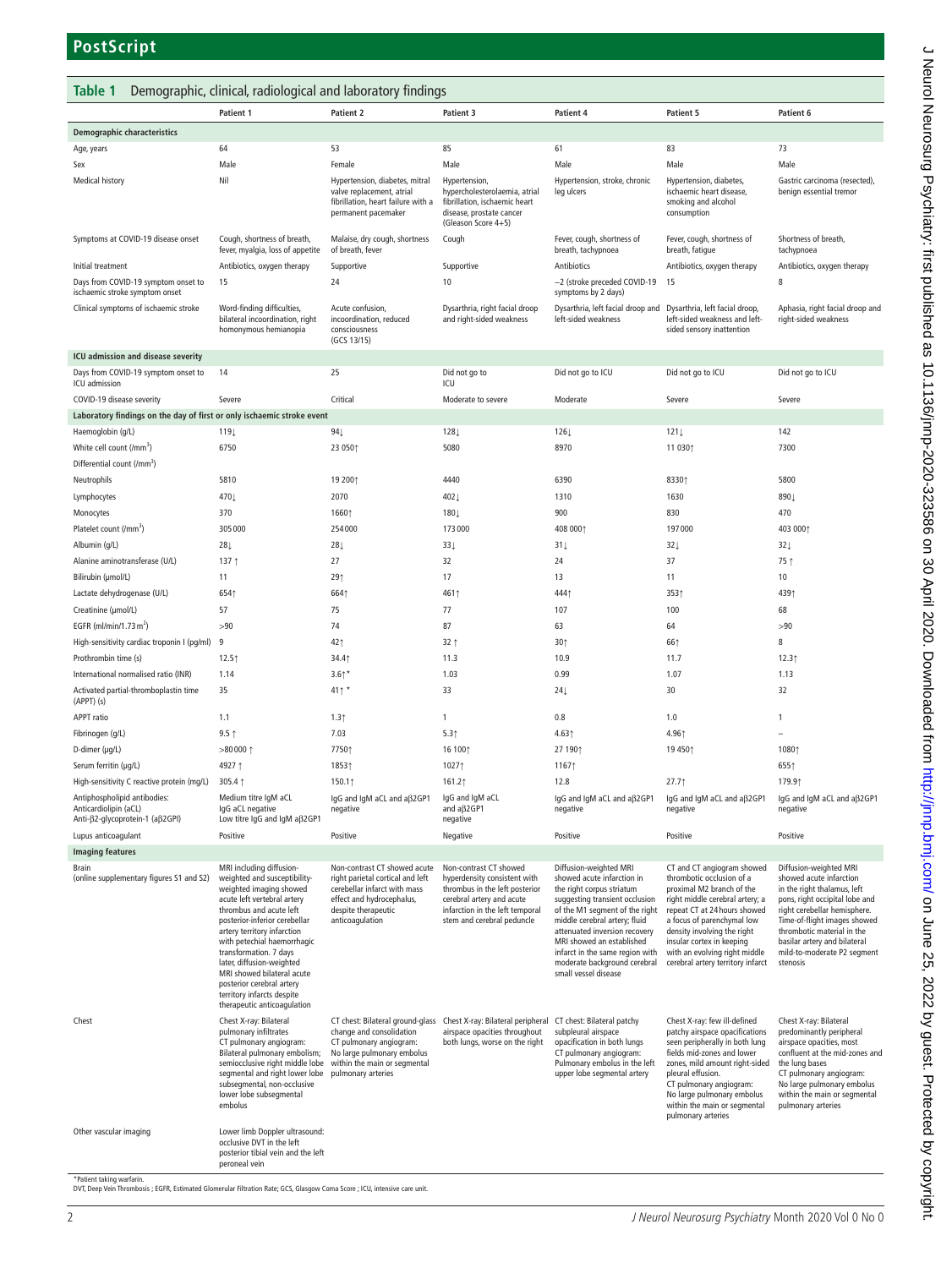## <span id="page-1-0"></span>**Table 1** Demographic, clinical, radiological and laboratory findings

|                                                                        | Patient 1                                                                                                                                                                                                                                                                                                                                                                                                                   | <b>Patient 2</b>                                                                                                                                                        | Patient 3                                                                                                                                                                              | Patient 4                                                                                                                                                                                                                                                                                                                                       | Patient 5                                                                                                                                                                                                                                                                                                               | Patient 6                                                                                                                                                                                                                                                                                   |
|------------------------------------------------------------------------|-----------------------------------------------------------------------------------------------------------------------------------------------------------------------------------------------------------------------------------------------------------------------------------------------------------------------------------------------------------------------------------------------------------------------------|-------------------------------------------------------------------------------------------------------------------------------------------------------------------------|----------------------------------------------------------------------------------------------------------------------------------------------------------------------------------------|-------------------------------------------------------------------------------------------------------------------------------------------------------------------------------------------------------------------------------------------------------------------------------------------------------------------------------------------------|-------------------------------------------------------------------------------------------------------------------------------------------------------------------------------------------------------------------------------------------------------------------------------------------------------------------------|---------------------------------------------------------------------------------------------------------------------------------------------------------------------------------------------------------------------------------------------------------------------------------------------|
| <b>Demographic characteristics</b>                                     |                                                                                                                                                                                                                                                                                                                                                                                                                             |                                                                                                                                                                         |                                                                                                                                                                                        |                                                                                                                                                                                                                                                                                                                                                 |                                                                                                                                                                                                                                                                                                                         |                                                                                                                                                                                                                                                                                             |
| Age, years                                                             | 64                                                                                                                                                                                                                                                                                                                                                                                                                          | 53                                                                                                                                                                      | 85                                                                                                                                                                                     | 61                                                                                                                                                                                                                                                                                                                                              | 83                                                                                                                                                                                                                                                                                                                      | 73                                                                                                                                                                                                                                                                                          |
| Sex                                                                    | Male                                                                                                                                                                                                                                                                                                                                                                                                                        | Female                                                                                                                                                                  | Male                                                                                                                                                                                   | Male                                                                                                                                                                                                                                                                                                                                            | Male                                                                                                                                                                                                                                                                                                                    | Male                                                                                                                                                                                                                                                                                        |
| <b>Medical history</b>                                                 | Nil                                                                                                                                                                                                                                                                                                                                                                                                                         | Hypertension, diabetes, mitral<br>valve replacement, atrial<br>fibrillation, heart failure with a<br>permanent pacemaker                                                | Hypertension,<br>hypercholesterolaemia, atrial<br>fibrillation, ischaemic heart<br>disease, prostate cancer<br>(Gleason Score 4+5)                                                     | Hypertension, stroke, chronic<br>leg ulcers                                                                                                                                                                                                                                                                                                     | Hypertension, diabetes,<br>ischaemic heart disease,<br>smoking and alcohol<br>consumption                                                                                                                                                                                                                               | Gastric carcinoma (resected),<br>benign essential tremor                                                                                                                                                                                                                                    |
| Symptoms at COVID-19 disease onset                                     | Cough, shortness of breath,<br>fever, myalgia, loss of appetite                                                                                                                                                                                                                                                                                                                                                             | Malaise, dry cough, shortness<br>of breath, fever                                                                                                                       | Cough                                                                                                                                                                                  | Fever, cough, shortness of<br>breath, tachypnoea                                                                                                                                                                                                                                                                                                | Fever, cough, shortness of<br>breath, fatigue                                                                                                                                                                                                                                                                           | Shortness of breath,<br>tachypnoea                                                                                                                                                                                                                                                          |
| Initial treatment                                                      | Antibiotics, oxygen therapy                                                                                                                                                                                                                                                                                                                                                                                                 | Supportive                                                                                                                                                              | Supportive                                                                                                                                                                             | Antibiotics                                                                                                                                                                                                                                                                                                                                     | Antibiotics, oxygen therapy                                                                                                                                                                                                                                                                                             | Antibiotics, oxygen therapy                                                                                                                                                                                                                                                                 |
| Days from COVID-19 symptom onset to<br>ischaemic stroke symptom onset  | 15                                                                                                                                                                                                                                                                                                                                                                                                                          | 24                                                                                                                                                                      | 10                                                                                                                                                                                     | -2 (stroke preceded COVID-19<br>symptoms by 2 days)                                                                                                                                                                                                                                                                                             | 15                                                                                                                                                                                                                                                                                                                      | 8                                                                                                                                                                                                                                                                                           |
| Clinical symptoms of ischaemic stroke                                  | Word-finding difficulties,<br>bilateral incoordination, right<br>homonymous hemianopia                                                                                                                                                                                                                                                                                                                                      | Acute confusion,<br>incoordination, reduced<br>consciousness<br>(GCS 13/15)                                                                                             | Dysarthria, right facial droop<br>and right-sided weakness                                                                                                                             | Dysarthria, left facial droop and<br>left-sided weakness                                                                                                                                                                                                                                                                                        | Dysarthria, left facial droop,<br>left-sided weakness and left-<br>sided sensory inattention                                                                                                                                                                                                                            | Aphasia, right facial droop and<br>right-sided weakness                                                                                                                                                                                                                                     |
| ICU admission and disease severity                                     |                                                                                                                                                                                                                                                                                                                                                                                                                             |                                                                                                                                                                         |                                                                                                                                                                                        |                                                                                                                                                                                                                                                                                                                                                 |                                                                                                                                                                                                                                                                                                                         |                                                                                                                                                                                                                                                                                             |
| Days from COVID-19 symptom onset to<br>ICU admission                   | 14                                                                                                                                                                                                                                                                                                                                                                                                                          | 25                                                                                                                                                                      | Did not go to<br>ICU                                                                                                                                                                   | Did not go to ICU                                                                                                                                                                                                                                                                                                                               | Did not go to ICU                                                                                                                                                                                                                                                                                                       | Did not go to ICU                                                                                                                                                                                                                                                                           |
| COVID-19 disease severity                                              | Severe                                                                                                                                                                                                                                                                                                                                                                                                                      | Critical                                                                                                                                                                | Moderate to severe                                                                                                                                                                     | Moderate                                                                                                                                                                                                                                                                                                                                        | Severe                                                                                                                                                                                                                                                                                                                  | Severe                                                                                                                                                                                                                                                                                      |
| Laboratory findings on the day of first or only ischaemic stroke event |                                                                                                                                                                                                                                                                                                                                                                                                                             |                                                                                                                                                                         |                                                                                                                                                                                        |                                                                                                                                                                                                                                                                                                                                                 |                                                                                                                                                                                                                                                                                                                         |                                                                                                                                                                                                                                                                                             |
| Haemoglobin (g/L)                                                      | 119↓                                                                                                                                                                                                                                                                                                                                                                                                                        | $94\downarrow$                                                                                                                                                          | 128 <sub>1</sub>                                                                                                                                                                       | $126\downarrow$                                                                                                                                                                                                                                                                                                                                 | $121 \downarrow$                                                                                                                                                                                                                                                                                                        | 142                                                                                                                                                                                                                                                                                         |
| White cell count (/mm <sup>3</sup> )                                   | 6750                                                                                                                                                                                                                                                                                                                                                                                                                        | 23 0501                                                                                                                                                                 | 5080                                                                                                                                                                                   | 8970                                                                                                                                                                                                                                                                                                                                            | 11 0301                                                                                                                                                                                                                                                                                                                 | 7300                                                                                                                                                                                                                                                                                        |
|                                                                        |                                                                                                                                                                                                                                                                                                                                                                                                                             |                                                                                                                                                                         |                                                                                                                                                                                        |                                                                                                                                                                                                                                                                                                                                                 |                                                                                                                                                                                                                                                                                                                         |                                                                                                                                                                                                                                                                                             |
| Differential count (/mm <sup>3</sup> )                                 |                                                                                                                                                                                                                                                                                                                                                                                                                             |                                                                                                                                                                         |                                                                                                                                                                                        |                                                                                                                                                                                                                                                                                                                                                 |                                                                                                                                                                                                                                                                                                                         |                                                                                                                                                                                                                                                                                             |
| Neutrophils                                                            | 5810                                                                                                                                                                                                                                                                                                                                                                                                                        | 19 2001                                                                                                                                                                 | 4440                                                                                                                                                                                   | 6390                                                                                                                                                                                                                                                                                                                                            | 83301                                                                                                                                                                                                                                                                                                                   | 5800                                                                                                                                                                                                                                                                                        |
| Lymphocytes                                                            | 470↓                                                                                                                                                                                                                                                                                                                                                                                                                        | 2070                                                                                                                                                                    | 402↓                                                                                                                                                                                   | 1310                                                                                                                                                                                                                                                                                                                                            | 1630                                                                                                                                                                                                                                                                                                                    | 890↓                                                                                                                                                                                                                                                                                        |
| Monocytes                                                              | 370                                                                                                                                                                                                                                                                                                                                                                                                                         | 16601                                                                                                                                                                   | 180 <sub>↓</sub>                                                                                                                                                                       | 900                                                                                                                                                                                                                                                                                                                                             | 830                                                                                                                                                                                                                                                                                                                     | 470                                                                                                                                                                                                                                                                                         |
| Platelet count (/mm <sup>3</sup> )                                     | 305000                                                                                                                                                                                                                                                                                                                                                                                                                      | 254000                                                                                                                                                                  | 173000                                                                                                                                                                                 | 408 0001                                                                                                                                                                                                                                                                                                                                        | 197000                                                                                                                                                                                                                                                                                                                  | 403 0001                                                                                                                                                                                                                                                                                    |
| Albumin (g/L)                                                          | $28\downarrow$                                                                                                                                                                                                                                                                                                                                                                                                              | $28+$                                                                                                                                                                   | $33 \downarrow$                                                                                                                                                                        | $31 \downarrow$                                                                                                                                                                                                                                                                                                                                 | $32\downarrow$                                                                                                                                                                                                                                                                                                          | $32 \downarrow$                                                                                                                                                                                                                                                                             |
| Alanine aminotransferase (U/L)                                         | 137↑                                                                                                                                                                                                                                                                                                                                                                                                                        | 27                                                                                                                                                                      | 32                                                                                                                                                                                     | 24                                                                                                                                                                                                                                                                                                                                              | 37                                                                                                                                                                                                                                                                                                                      | 75 1                                                                                                                                                                                                                                                                                        |
| Bilirubin (µmol/L)                                                     | 11                                                                                                                                                                                                                                                                                                                                                                                                                          | 29 <sub>1</sub>                                                                                                                                                         | 17                                                                                                                                                                                     | 13                                                                                                                                                                                                                                                                                                                                              | 11                                                                                                                                                                                                                                                                                                                      | 10                                                                                                                                                                                                                                                                                          |
| Lactate dehydrogenase (U/L)                                            | 6541                                                                                                                                                                                                                                                                                                                                                                                                                        | 6641                                                                                                                                                                    | 4611                                                                                                                                                                                   | 4441                                                                                                                                                                                                                                                                                                                                            | 3531                                                                                                                                                                                                                                                                                                                    | 4391                                                                                                                                                                                                                                                                                        |
| Creatinine (µmol/L)                                                    | 57                                                                                                                                                                                                                                                                                                                                                                                                                          | 75                                                                                                                                                                      | 77                                                                                                                                                                                     | 107                                                                                                                                                                                                                                                                                                                                             | 100                                                                                                                                                                                                                                                                                                                     | 68                                                                                                                                                                                                                                                                                          |
| EGFR (ml/min/1.73 $\text{m}^2$ )                                       | >90                                                                                                                                                                                                                                                                                                                                                                                                                         | 74                                                                                                                                                                      | 87                                                                                                                                                                                     | 63                                                                                                                                                                                                                                                                                                                                              | 64                                                                                                                                                                                                                                                                                                                      | >90                                                                                                                                                                                                                                                                                         |
| High-sensitivity cardiac troponin I (pg/ml)                            | 9                                                                                                                                                                                                                                                                                                                                                                                                                           | 421                                                                                                                                                                     | 32 <sub>1</sub>                                                                                                                                                                        | 30 <sub>0</sub>                                                                                                                                                                                                                                                                                                                                 | 661                                                                                                                                                                                                                                                                                                                     | 8                                                                                                                                                                                                                                                                                           |
|                                                                        |                                                                                                                                                                                                                                                                                                                                                                                                                             |                                                                                                                                                                         |                                                                                                                                                                                        |                                                                                                                                                                                                                                                                                                                                                 |                                                                                                                                                                                                                                                                                                                         |                                                                                                                                                                                                                                                                                             |
| Prothrombin time (s)                                                   | 12.5                                                                                                                                                                                                                                                                                                                                                                                                                        | 34.41                                                                                                                                                                   | 11.3                                                                                                                                                                                   | 10.9                                                                                                                                                                                                                                                                                                                                            | 11.7                                                                                                                                                                                                                                                                                                                    | 12.3 <sup>†</sup>                                                                                                                                                                                                                                                                           |
| International normalised ratio (INR)                                   | 1.14                                                                                                                                                                                                                                                                                                                                                                                                                        | $3.6*$                                                                                                                                                                  | 1.03                                                                                                                                                                                   | 0.99                                                                                                                                                                                                                                                                                                                                            | 1.07                                                                                                                                                                                                                                                                                                                    | 1.13                                                                                                                                                                                                                                                                                        |
| Activated partial-thromboplastin time<br>$(APPT)$ (s)                  | 35                                                                                                                                                                                                                                                                                                                                                                                                                          | $41$ <sup>*</sup>                                                                                                                                                       | 33                                                                                                                                                                                     | 24                                                                                                                                                                                                                                                                                                                                              | 30                                                                                                                                                                                                                                                                                                                      | 32                                                                                                                                                                                                                                                                                          |
| <b>APPT</b> ratio                                                      | 1.1                                                                                                                                                                                                                                                                                                                                                                                                                         | 1.3 <sup>†</sup>                                                                                                                                                        | 1                                                                                                                                                                                      | 0.8                                                                                                                                                                                                                                                                                                                                             | 1.0                                                                                                                                                                                                                                                                                                                     | 1                                                                                                                                                                                                                                                                                           |
| Fibrinogen (g/L)                                                       | $9.5$ ↑                                                                                                                                                                                                                                                                                                                                                                                                                     | 7.03                                                                                                                                                                    | 5.3 <sub>1</sub>                                                                                                                                                                       | 4.63                                                                                                                                                                                                                                                                                                                                            | 4.961                                                                                                                                                                                                                                                                                                                   |                                                                                                                                                                                                                                                                                             |
| D-dimer (µg/L)                                                         | $>80000$ 1                                                                                                                                                                                                                                                                                                                                                                                                                  | 77501                                                                                                                                                                   | 16 1001                                                                                                                                                                                | 27 1901                                                                                                                                                                                                                                                                                                                                         | 19 4501                                                                                                                                                                                                                                                                                                                 | 10801                                                                                                                                                                                                                                                                                       |
| Serum ferritin (µg/L)                                                  | 4927 1                                                                                                                                                                                                                                                                                                                                                                                                                      | 18531                                                                                                                                                                   | 10271                                                                                                                                                                                  | 11671                                                                                                                                                                                                                                                                                                                                           |                                                                                                                                                                                                                                                                                                                         | 6551                                                                                                                                                                                                                                                                                        |
| High-sensitivity C reactive protein (mg/L)                             | 305.4 ↑                                                                                                                                                                                                                                                                                                                                                                                                                     | 150.11                                                                                                                                                                  | 161.21                                                                                                                                                                                 | 12.8                                                                                                                                                                                                                                                                                                                                            | 27.7                                                                                                                                                                                                                                                                                                                    | 179.91                                                                                                                                                                                                                                                                                      |
| Antiphospholipid antibodies:<br>Anticardiolipin (aCL)                  | Medium titre IgM aCL<br>IqG aCL negative                                                                                                                                                                                                                                                                                                                                                                                    | lgG and lgM aCL and aβ2GP1<br>negative                                                                                                                                  | IgG and IgM aCL<br>and aß2GP1                                                                                                                                                          | lgG and lgM aCL and aβ2GP1<br>negative                                                                                                                                                                                                                                                                                                          | IgG and IgM aCL and aß2GP1<br>negative                                                                                                                                                                                                                                                                                  | IgG and IgM aCL and aβ2GP1<br>negative                                                                                                                                                                                                                                                      |
| Anti-β2-glycoprotein-1 (aβ2GPI)                                        | Low titre IgG and IgM aß2GP1                                                                                                                                                                                                                                                                                                                                                                                                |                                                                                                                                                                         | negative                                                                                                                                                                               |                                                                                                                                                                                                                                                                                                                                                 |                                                                                                                                                                                                                                                                                                                         |                                                                                                                                                                                                                                                                                             |
| Lupus anticoagulant                                                    | Positive                                                                                                                                                                                                                                                                                                                                                                                                                    | Positive                                                                                                                                                                | Negative                                                                                                                                                                               | Positive                                                                                                                                                                                                                                                                                                                                        | Positive                                                                                                                                                                                                                                                                                                                | Positive                                                                                                                                                                                                                                                                                    |
| <b>Imaging features</b>                                                |                                                                                                                                                                                                                                                                                                                                                                                                                             |                                                                                                                                                                         |                                                                                                                                                                                        |                                                                                                                                                                                                                                                                                                                                                 |                                                                                                                                                                                                                                                                                                                         |                                                                                                                                                                                                                                                                                             |
| Brain<br>(online supplementary figures S1 and S2)                      | MRI including diffusion-<br>weighted and susceptibility-<br>weighted imaging showed<br>acute left vertebral artery<br>thrombus and acute left<br>posterior-inferior cerebellar<br>artery territory infarction<br>with petechial haemorrhagic<br>transformation. 7 days<br>later, diffusion-weighted<br>MRI showed bilateral acute<br>posterior cerebral arterv<br>territory infarcts despite<br>therapeutic anticoagulation | Non-contrast CT showed acute<br>right parietal cortical and left<br>cerebellar infarct with mass<br>effect and hydrocephalus,<br>despite therapeutic<br>anticoagulation | Non-contrast CT showed<br>hyperdensity consistent with<br>thrombus in the left posterior<br>cerebral artery and acute<br>infarction in the left temporal<br>stem and cerebral peduncle | Diffusion-weighted MRI<br>showed acute infarction in<br>the right corpus striatum<br>suggesting transient occlusion<br>of the M1 segment of the right<br>middle cerebral artery; fluid<br>attenuated inversion recovery<br>MRI showed an established<br>infarct in the same region with<br>moderate background cerebral<br>small vessel disease | CT and CT angiogram showed<br>thrombotic occlusion of a<br>proximal M2 branch of the<br>right middle cerebral artery; a<br>repeat CT at 24 hours showed<br>a focus of parenchymal low<br>density involving the right<br>insular cortex in keeping<br>with an evolving right middle<br>cerebral artery territory infarct | Diffusion-weighted MRI<br>showed acute infarction<br>in the right thalamus, left<br>pons, right occipital lobe and<br>right cerebellar hemisphere.<br>Time-of-flight images showed<br>thrombotic material in the<br>basilar artery and bilateral<br>mild-to-moderate P2 segment<br>stenosis |
| Chest<br>Other vascular imaging                                        | Chest X-ray: Bilateral<br>pulmonary infiltrates<br>CT pulmonary angiogram:<br>Bilateral pulmonary embolism;<br>semiocclusive right middle lobe<br>segmental and right lower lobe pulmonary arteries<br>subseqmental, non-occlusive<br>lower lobe subsegmental<br>embolus<br>Lower limb Doppler ultrasound:<br>occlusive DVT in the left                                                                                     | change and consolidation<br>CT pulmonary angiogram:<br>No large pulmonary embolus<br>within the main or segmental                                                       | CT chest: Bilateral ground-glass Chest X-ray: Bilateral peripheral<br>airspace opacities throughout<br>both lungs, worse on the right                                                  | CT chest: Bilateral patchy<br>subpleural airspace<br>opacification in both lungs<br>CT pulmonary angiogram:<br>Pulmonary embolus in the left<br>upper lobe segmental artery                                                                                                                                                                     | Chest X-ray: few ill-defined<br>patchy airspace opacifications<br>seen peripherally in both lung<br>fields mid-zones and lower<br>zones, mild amount right-sided<br>pleural effusion.<br>CT pulmonary angiogram:<br>No large pulmonary embolus<br>within the main or segmental<br>pulmonary arteries                    | Chest X-ray: Bilateral<br>predominantly peripheral<br>airspace opacities, most<br>confluent at the mid-zones and<br>the lung bases<br>CT pulmonary angiogram:<br>No large pulmonary embolus<br>within the main or segmental<br>pulmonary arteries                                           |
|                                                                        | posterior tibial vein and the left                                                                                                                                                                                                                                                                                                                                                                                          |                                                                                                                                                                         |                                                                                                                                                                                        |                                                                                                                                                                                                                                                                                                                                                 |                                                                                                                                                                                                                                                                                                                         |                                                                                                                                                                                                                                                                                             |
| *Patient taking warfari                                                | peroneal vein                                                                                                                                                                                                                                                                                                                                                                                                               |                                                                                                                                                                         |                                                                                                                                                                                        |                                                                                                                                                                                                                                                                                                                                                 |                                                                                                                                                                                                                                                                                                                         |                                                                                                                                                                                                                                                                                             |

\*Patient taking warfarin. DVT, Deep Vein Thrombosis ; EGFR, Estimated Glomerular Filtration Rate; GCS, Glasgow Coma Score ; ICU, intensive care unit.